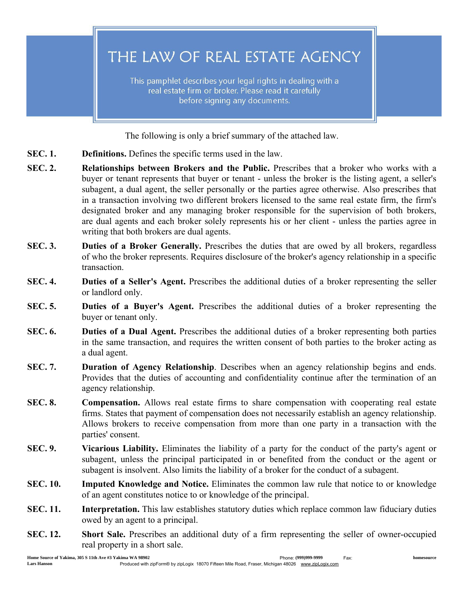THE LAW OF REAL ESTATE AGENCY

This pamphlet describes your legal rights in dealing with a real estate firm or broker. Please read it carefully before signing any documents.

The following is only a brief summary of the attached law.

- SEC. 1. Definitions. Defines the specific terms used in the law.
- SEC. 2. Relationships between Brokers and the Public. Prescribes that a broker who works with a buyer or tenant represents that buyer or tenant - unless the broker is the listing agent, a seller's subagent, a dual agent, the seller personally or the parties agree otherwise. Also prescribes that in a transaction involving two different brokers licensed to the same real estate firm, the firm's designated broker and any managing broker responsible for the supervision of both brokers, are dual agents and each broker solely represents his or her client - unless the parties agree in writing that both brokers are dual agents.
- SEC. 3. Duties of a Broker Generally. Prescribes the duties that are owed by all brokers, regardless of who the broker represents. Requires disclosure of the broker's agency relationship in a specific transaction.
- SEC. 4. Duties of a Seller's Agent. Prescribes the additional duties of a broker representing the seller or landlord only.
- SEC. 5. Duties of a Buyer's Agent. Prescribes the additional duties of a broker representing the buyer or tenant only.
- SEC. 6. Duties of a Dual Agent. Prescribes the additional duties of a broker representing both parties in the same transaction, and requires the written consent of both parties to the broker acting as a dual agent.
- SEC. 7. Duration of Agency Relationship. Describes when an agency relationship begins and ends. Provides that the duties of accounting and confidentiality continue after the termination of an agency relationship.
- SEC. 8. Compensation. Allows real estate firms to share compensation with cooperating real estate firms. States that payment of compensation does not necessarily establish an agency relationship. Allows brokers to receive compensation from more than one party in a transaction with the parties' consent.
- SEC. 9. Vicarious Liability. Eliminates the liability of a party for the conduct of the party's agent or subagent, unless the principal participated in or benefited from the conduct or the agent or subagent is insolvent. Also limits the liability of a broker for the conduct of a subagent.
- SEC. 10. Imputed Knowledge and Notice. Eliminates the common law rule that notice to or knowledge of an agent constitutes notice to or knowledge of the principal.
- SEC. 11. Interpretation. This law establishes statutory duties which replace common law fiduciary duties owed by an agent to a principal.
- SEC. 12. Short Sale. Prescribes an additional duty of a firm representing the seller of owner-occupied real property in a short sale.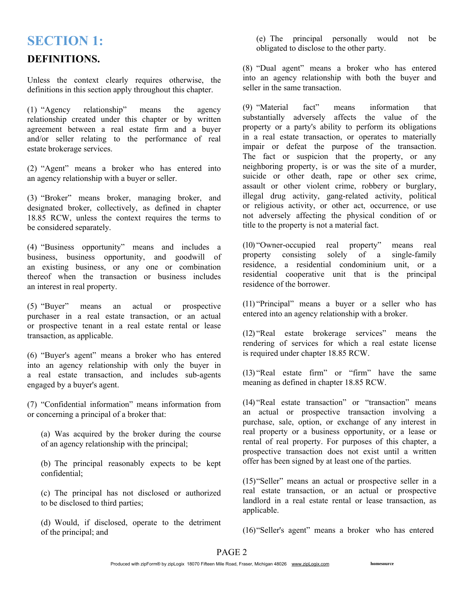## SECTION 1:

### DEFINITIONS.

Unless the context clearly requires otherwise, the definitions in this section apply throughout this chapter.

(1) "Agency relationship" means the agency relationship created under this chapter or by written agreement between a real estate firm and a buyer and/or seller relating to the performance of real estate brokerage services.

(2) "Agent" means a broker who has entered into an agency relationship with a buyer or seller.

(3) "Broker" means broker, managing broker, and designated broker, collectively, as defined in chapter 18.85 RCW, unless the context requires the terms to be considered separately.

(4) "Business opportunity" means and includes a business, business opportunity, and goodwill of an existing business, or any one or combination thereof when the transaction or business includes an interest in real property.

(5) "Buyer" means an actual or prospective purchaser in a real estate transaction, or an actual or prospective tenant in a real estate rental or lease transaction, as applicable.

(6) "Buyer's agent" means a broker who has entered into an agency relationship with only the buyer in a real estate transaction, and includes sub-agents engaged by a buyer's agent.

(7) "Confidential information" means information from or concerning a principal of a broker that:

(a) Was acquired by the broker during the course of an agency relationship with the principal;

(b) The principal reasonably expects to be kept confidential;

(c) The principal has not disclosed or authorized to be disclosed to third parties;

(d) Would, if disclosed, operate to the detriment of the principal; and

(e) The principal personally would not be obligated to disclose to the other party.

(8) "Dual agent" means a broker who has entered into an agency relationship with both the buyer and seller in the same transaction.

(9) "Material fact" means information that substantially adversely affects the value of the property or a party's ability to perform its obligations in a real estate transaction, or operates to materially impair or defeat the purpose of the transaction. The fact or suspicion that the property, or any neighboring property, is or was the site of a murder, suicide or other death, rape or other sex crime, assault or other violent crime, robbery or burglary, illegal drug activity, gang-related activity, political or religious activity, or other act, occurrence, or use not adversely affecting the physical condition of or title to the property is not a material fact.

(10) "Owner-occupied real property" means real property consisting solely of a single-family residence, a residential condominium unit, or a residential cooperative unit that is the principal residence of the borrower.

(11) "Principal" means a buyer or a seller who has entered into an agency relationship with a broker.

(12) "Real estate brokerage services" means the rendering of services for which a real estate license is required under chapter 18.85 RCW.

(13) "Real estate firm" or "firm" have the same meaning as defined in chapter 18.85 RCW.

(14) "Real estate transaction" or "transaction" means an actual or prospective transaction involving a purchase, sale, option, or exchange of any interest in real property or a business opportunity, or a lease or rental of real property. For purposes of this chapter, a prospective transaction does not exist until a written offer has been signed by at least one of the parties.

(15)"Seller" means an actual or prospective seller in a real estate transaction, or an actual or prospective landlord in a real estate rental or lease transaction, as applicable.

(16)"Seller's agent" means a broker who has entered

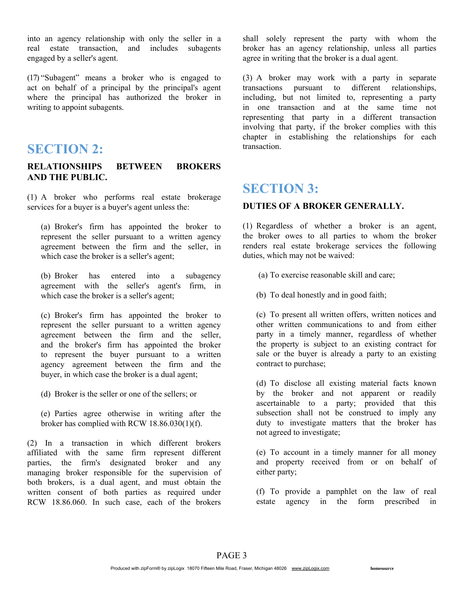into an agency relationship with only the seller in a real estate transaction, and includes subagents engaged by a seller's agent.

(17) "Subagent" means a broker who is engaged to act on behalf of a principal by the principal's agent where the principal has authorized the broker in writing to appoint subagents.

## SECTION 2:

#### RELATIONSHIPS BETWEEN BROKERS AND THE PUBLIC.

(1) A broker who performs real estate brokerage services for a buyer is a buyer's agent unless the:

(a) Broker's firm has appointed the broker to represent the seller pursuant to a written agency agreement between the firm and the seller, in which case the broker is a seller's agent;

(b) Broker has entered into a subagency agreement with the seller's agent's firm, in which case the broker is a seller's agent;

(c) Broker's firm has appointed the broker to represent the seller pursuant to a written agency agreement between the firm and the seller, and the broker's firm has appointed the broker to represent the buyer pursuant to a written agency agreement between the firm and the buyer, in which case the broker is a dual agent;

- (d) Broker is the seller or one of the sellers; or
- (e) Parties agree otherwise in writing after the broker has complied with RCW 18.86.030(1)(f).

(2) In a transaction in which different brokers affiliated with the same firm represent different parties, the firm's designated broker and any managing broker responsible for the supervision of both brokers, is a dual agent, and must obtain the written consent of both parties as required under RCW 18.86.060. In such case, each of the brokers shall solely represent the party with whom the broker has an agency relationship, unless all parties agree in writing that the broker is a dual agent.

(3) A broker may work with a party in separate transactions pursuant to different relationships, including, but not limited to, representing a party in one transaction and at the same time not representing that party in a different transaction involving that party, if the broker complies with this chapter in establishing the relationships for each transaction.

## SECTION 3:

#### DUTIES OF A BROKER GENERALLY.

(1) Regardless of whether a broker is an agent, the broker owes to all parties to whom the broker renders real estate brokerage services the following duties, which may not be waived:

- (a) To exercise reasonable skill and care;
- (b) To deal honestly and in good faith;

(c) To present all written offers, written notices and other written communications to and from either party in a timely manner, regardless of whether the property is subject to an existing contract for sale or the buyer is already a party to an existing contract to purchase;

(d) To disclose all existing material facts known by the broker and not apparent or readily ascertainable to a party; provided that this subsection shall not be construed to imply any duty to investigate matters that the broker has not agreed to investigate;

(e) To account in a timely manner for all money and property received from or on behalf of either party;

(f) To provide a pamphlet on the law of real estate agency in the form prescribed in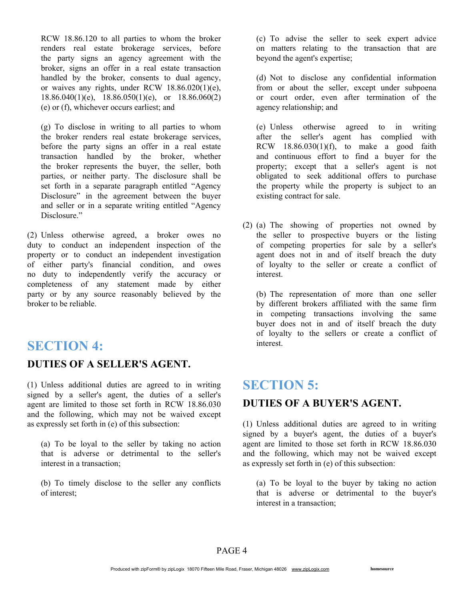RCW 18.86.120 to all parties to whom the broker renders real estate brokerage services, before the party signs an agency agreement with the broker, signs an offer in a real estate transaction handled by the broker, consents to dual agency, or waives any rights, under RCW 18.86.020(1)(e),  $18.86.040(1)(e)$ ,  $18.86.050(1)(e)$ , or  $18.86.060(2)$ (e) or (f), whichever occurs earliest; and

(g) To disclose in writing to all parties to whom the broker renders real estate brokerage services, before the party signs an offer in a real estate transaction handled by the broker, whether the broker represents the buyer, the seller, both parties, or neither party. The disclosure shall be set forth in a separate paragraph entitled "Agency Disclosure" in the agreement between the buyer and seller or in a separate writing entitled "Agency Disclosure."

(2) Unless otherwise agreed, a broker owes no duty to conduct an independent inspection of the property or to conduct an independent investigation of either party's financial condition, and owes no duty to independently verify the accuracy or completeness of any statement made by either party or by any source reasonably believed by the broker to be reliable.

## SECTION 4:

### DUTIES OF A SELLER'S AGENT.

(1) Unless additional duties are agreed to in writing signed by a seller's agent, the duties of a seller's agent are limited to those set forth in RCW 18.86.030 and the following, which may not be waived except as expressly set forth in (e) of this subsection:

(a) To be loyal to the seller by taking no action that is adverse or detrimental to the seller's interest in a transaction;

(b) To timely disclose to the seller any conflicts of interest;

(c) To advise the seller to seek expert advice on matters relating to the transaction that are beyond the agent's expertise;

(d) Not to disclose any confidential information from or about the seller, except under subpoena or court order, even after termination of the agency relationship; and

(e) Unless otherwise agreed to in writing after the seller's agent has complied with RCW  $18.86.030(1)(f)$ , to make a good faith and continuous effort to find a buyer for the property; except that a seller's agent is not obligated to seek additional offers to purchase the property while the property is subject to an existing contract for sale.

(2) (a) The showing of properties not owned by the seller to prospective buyers or the listing of competing properties for sale by a seller's agent does not in and of itself breach the duty of loyalty to the seller or create a conflict of interest.

(b) The representation of more than one seller by different brokers affiliated with the same firm in competing transactions involving the same buyer does not in and of itself breach the duty of loyalty to the sellers or create a conflict of interest.

# SECTION 5:

### DUTIES OF A BUYER'S AGENT.

(1) Unless additional duties are agreed to in writing signed by a buyer's agent, the duties of a buyer's agent are limited to those set forth in RCW 18.86.030 and the following, which may not be waived except as expressly set forth in (e) of this subsection:

(a) To be loyal to the buyer by taking no action that is adverse or detrimental to the buyer's interest in a transaction;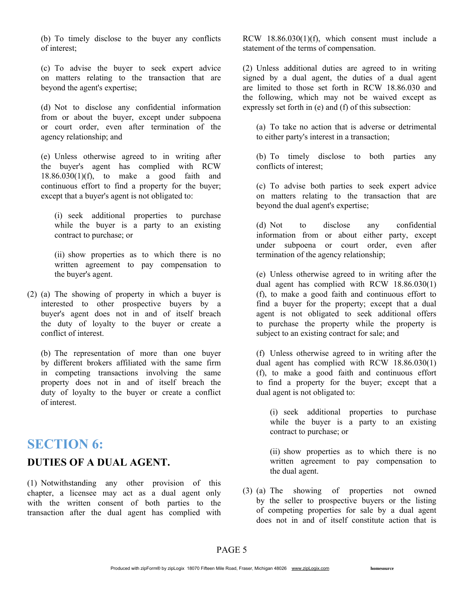(b) To timely disclose to the buyer any conflicts of interest;

(c) To advise the buyer to seek expert advice on matters relating to the transaction that are beyond the agent's expertise;

(d) Not to disclose any confidential information from or about the buyer, except under subpoena or court order, even after termination of the agency relationship; and

(e) Unless otherwise agreed to in writing after the buyer's agent has complied with RCW  $18.86.030(1)(f)$ , to make a good faith and continuous effort to find a property for the buyer; except that a buyer's agent is not obligated to:

(i) seek additional properties to purchase while the buyer is a party to an existing contract to purchase; or

(ii) show properties as to which there is no written agreement to pay compensation to the buyer's agent.

(2) (a) The showing of property in which a buyer is interested to other prospective buyers by a buyer's agent does not in and of itself breach the duty of loyalty to the buyer or create a conflict of interest.

(b) The representation of more than one buyer by different brokers affiliated with the same firm in competing transactions involving the same property does not in and of itself breach the duty of loyalty to the buyer or create a conflict of interest.

## SECTION 6:

#### DUTIES OF A DUAL AGENT.

(1) Notwithstanding any other provision of this chapter, a licensee may act as a dual agent only with the written consent of both parties to the transaction after the dual agent has complied with RCW 18.86.030(1)(f), which consent must include a statement of the terms of compensation.

(2) Unless additional duties are agreed to in writing signed by a dual agent, the duties of a dual agent are limited to those set forth in RCW 18.86.030 and the following, which may not be waived except as expressly set forth in (e) and (f) of this subsection:

(a) To take no action that is adverse or detrimental to either party's interest in a transaction;

(b) To timely disclose to both parties any conflicts of interest;

(c) To advise both parties to seek expert advice on matters relating to the transaction that are beyond the dual agent's expertise;

(d) Not to disclose any confidential information from or about either party, except under subpoena or court order, even after termination of the agency relationship;

(e) Unless otherwise agreed to in writing after the dual agent has complied with RCW 18.86.030(1) (f), to make a good faith and continuous effort to find a buyer for the property; except that a dual agent is not obligated to seek additional offers to purchase the property while the property is subject to an existing contract for sale; and

(f) Unless otherwise agreed to in writing after the dual agent has complied with RCW 18.86.030(1) (f), to make a good faith and continuous effort to find a property for the buyer; except that a dual agent is not obligated to:

(i) seek additional properties to purchase while the buyer is a party to an existing contract to purchase; or

(ii) show properties as to which there is no written agreement to pay compensation to the dual agent.

(3) (a) The showing of properties not owned by the seller to prospective buyers or the listing of competing properties for sale by a dual agent does not in and of itself constitute action that is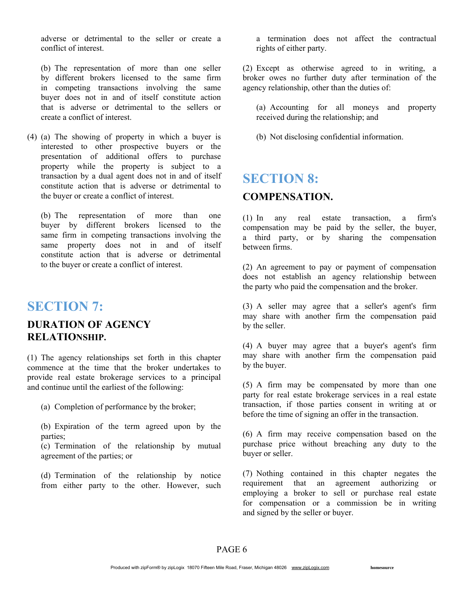adverse or detrimental to the seller or create a conflict of interest.

(b) The representation of more than one seller by different brokers licensed to the same firm in competing transactions involving the same buyer does not in and of itself constitute action that is adverse or detrimental to the sellers or create a conflict of interest.

(4) (a) The showing of property in which a buyer is interested to other prospective buyers or the presentation of additional offers to purchase property while the property is subject to a transaction by a dual agent does not in and of itself constitute action that is adverse or detrimental to the buyer or create a conflict of interest.

(b) The representation of more than one buyer by different brokers licensed to the same firm in competing transactions involving the same property does not in and of itself constitute action that is adverse or detrimental to the buyer or create a conflict of interest.

# SECTION 7:

### DURATION OF AGENCY RELATIONSHIP.

(1) The agency relationships set forth in this chapter commence at the time that the broker undertakes to provide real estate brokerage services to a principal and continue until the earliest of the following:

(a) Completion of performance by the broker;

(b) Expiration of the term agreed upon by the parties;

(c) Termination of the relationship by mutual agreement of the parties; or

(d) Termination of the relationship by notice from either party to the other. However, such

a termination does not affect the contractual rights of either party.

(2) Except as otherwise agreed to in writing, a broker owes no further duty after termination of the agency relationship, other than the duties of:

(a) Accounting for all moneys and property received during the relationship; and

(b) Not disclosing confidential information.

## SECTION 8:

### COMPENSATION.

(1) In any real estate transaction, a firm's compensation may be paid by the seller, the buyer, a third party, or by sharing the compensation between firms.

(2) An agreement to pay or payment of compensation does not establish an agency relationship between the party who paid the compensation and the broker.

(3) A seller may agree that a seller's agent's firm may share with another firm the compensation paid by the seller.

(4) A buyer may agree that a buyer's agent's firm may share with another firm the compensation paid by the buyer.

(5) A firm may be compensated by more than one party for real estate brokerage services in a real estate transaction, if those parties consent in writing at or before the time of signing an offer in the transaction.

(6) A firm may receive compensation based on the purchase price without breaching any duty to the buyer or seller.

(7) Nothing contained in this chapter negates the requirement that an agreement authorizing or employing a broker to sell or purchase real estate for compensation or a commission be in writing and signed by the seller or buyer.